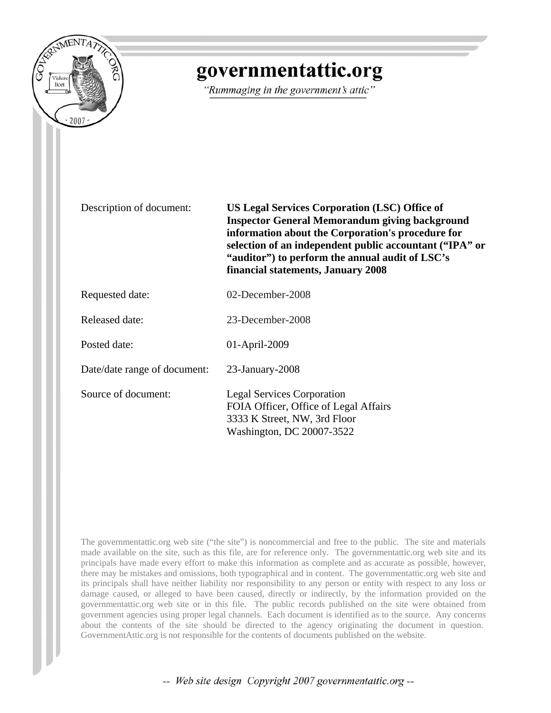

# governmentattic.org

"Rummaging in the government's attic"

Description of document: **US Legal Services Corporation (LSC) Office of Inspector General Memorandum giving background information about the Corporation's procedure for selection of an independent public accountant ("IPA" or "auditor") to perform the annual audit of LSC's financial statements, January 2008**

Requested date: 02-December-2008

Released date: 23-December-2008

Posted date: 01-April-2009

Date/date range of document: 23-January-2008

Source of document: Legal Services Corporation FOIA Officer, Office of Legal Affairs 3333 K Street, NW, 3rd Floor Washington, DC 20007-3522

The governmentattic.org web site ("the site") is noncommercial and free to the public. The site and materials made available on the site, such as this file, are for reference only. The governmentattic.org web site and its principals have made every effort to make this information as complete and as accurate as possible, however, there may be mistakes and omissions, both typographical and in content. The governmentattic.org web site and its principals shall have neither liability nor responsibility to any person or entity with respect to any loss or damage caused, or alleged to have been caused, directly or indirectly, by the information provided on the governmentattic.org web site or in this file. The public records published on the site were obtained from government agencies using proper legal channels. Each document is identified as to the source. Any concerns about the contents of the site should be directed to the agency originating the document in question. GovernmentAttic.org is not responsible for the contents of documents published on the website.

-- Web site design Copyright 2007 governmentattic.org --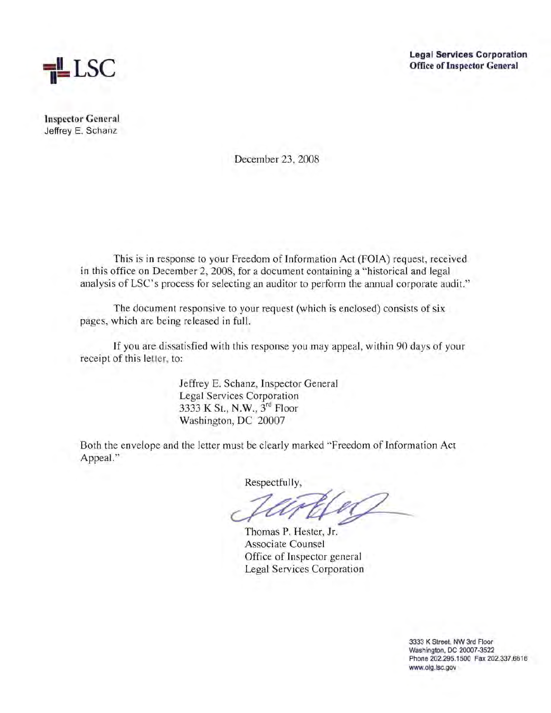

**Legal Services Corporation Office of Inspector General** 

**Inspector General**  Jeffrey E. Schanz

December 23, 2008

This is in response to your Freedom of Information Act (FOIA) request, received in this office on December 2, 2008, for a document containing a "historical and legal analysis of LSC's process for selecting an auditor to perform the annual corporate audit."

The document responsive to your request (which is enclosed) consists of six pages, which are being released in full.

If you are dissatisfied with this response you may appeal, within 90 days of your receipt of this letter, to:

> Jeffrey E. Schanz, Inspector General Legal Services Corporation 3333 K St., N.W., 3rd Floor Washington, DC 20007

Both the envelope and the letter must be clearly marked "Freedom of Information Act Appeal."

Respectfully,

Thomas P. Hester, Jr. Associate Counsel Office of Inspector general Legal Services Corporation

3333 K Street, NW 3rd Floor Washington, DC 20007-3522 Phone 202.295.1500 Fax 202.337.6616 www.oig.lsc.gov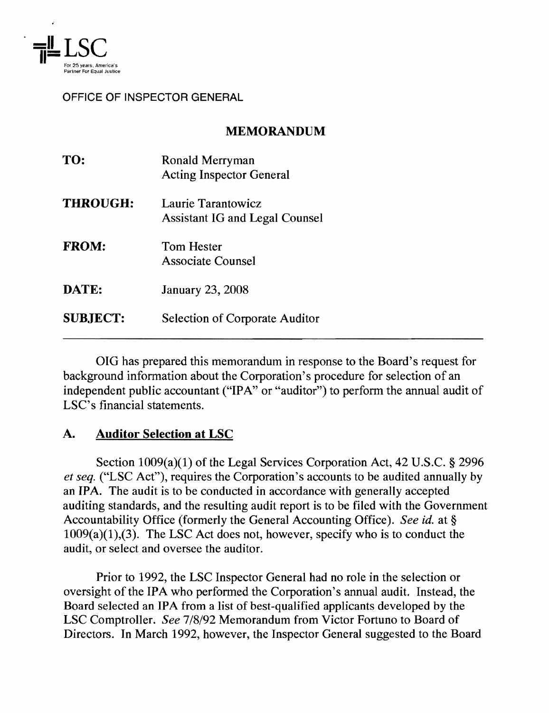

#### OFFICE OF INSPECTOR GENERAL

## MEMORANDUM

| TO:             | Ronald Merryman<br><b>Acting Inspector General</b>          |
|-----------------|-------------------------------------------------------------|
| <b>THROUGH:</b> | Laurie Tarantowicz<br><b>Assistant IG and Legal Counsel</b> |
| <b>FROM:</b>    | <b>Tom Hester</b><br><b>Associate Counsel</b>               |
| DATE:           | <b>January 23, 2008</b>                                     |
| <b>SUBJECT:</b> | <b>Selection of Corporate Auditor</b>                       |

OIG has prepared this memorandum in response to the Board's request for background information about the Corporation's procedure for selection of an independent public accountant ("IPA" or "auditor") to perform the annual audit of LSC's financial statements.

## A. Auditor Selection at LSC

Section  $1009(a)(1)$  of the Legal Services Corporation Act, 42 U.S.C. § 2996 *et seq.* ("LSC Act"), requires the Corporation's accounts to be audited annually by an IPA. The audit is to be conducted in accordance with generally accepted auditing standards, and the resulting audit report is to be filed with the Government Accountability Office (formerly the General Accounting Office). *See id.* at §  $1009(a)(1)$ , (3). The LSC Act does not, however, specify who is to conduct the audit, or select and oversee the auditor.

Prior to 1992, the LSC Inspector General had no role in the selection or oversight of the IPA who performed the Corporation's annual audit. Instead, the Board selected an IPA from a list of best-qualified applicants developed by the LSC Comptroller. *See* 7/8/92 Memorandum from Victor Fortuno to Board of Directors. In March 1992, however, the Inspector General suggested to the Board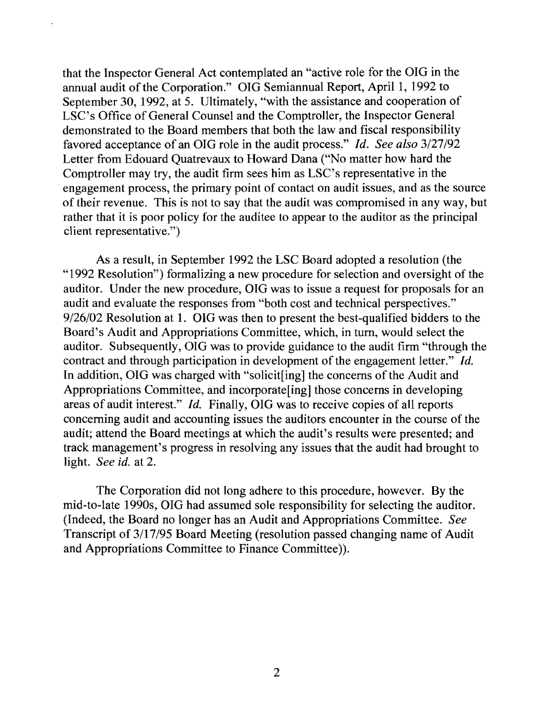that the Inspector General Act contemplated an "active role for the OIG in the annual audit of the Corporation." OIG Semiannual Report, April 1, 1992 to September 30, 1992, at 5. Ultimately, "with the assistance and cooperation of LSC's Office of General Counsel and the Comptroller, the Inspector General demonstrated to the Board members that both the law and fiscal responsibility favored acceptance of an OIG role in the audit process." *[d. See also* 3/27/92 Letter from Edouard Quatrevaux to Howard Dana ("No matter how hard the Comptroller may try, the audit firm sees him as LSC's representative in the engagement process, the primary point of contact on audit issues, and as the source of their revenue. This is not to say that the audit was compromised in any way, but rather that it is poor policy for the auditee to appear to the auditor as the principal client representative.")

As a result, in September 1992 the LSC Board adopted a resolution (the "1992 Resolution") formalizing a new procedure for selection and oversight of the auditor. Under the new procedure, OIG was to issue a request for proposals for an audit and evaluate the responses from "both cost and technical perspectives." 9/26/02 Resolution at 1. OIG was then to present the best-qualified bidders to the Board's Audit and Appropriations Committee, which, in tum, would select the auditor. Subsequently, OIG was to provide guidance to the audit firm "through the contract and through participation in development of the engagement letter." Id. In addition, OIG was charged with "solicit[ing] the concerns of the Audit and Appropriations Committee, and incorporate[ing] those concerns in developing areas of audit interest." *Id.* Finally, OIG was to receive copies of all reports concerning audit and accounting issues the auditors encounter in the course of the audit; attend the Board meetings at which the audit's results were presented; and track management's progress in resolving any issues that the audit had brought to light. *See id.* at 2.

The Corporation did not long adhere to this procedure, however. By the mid-to-Iate 1990s, OIG had assumed sole responsibility for selecting the auditor. (Indeed, the Board no longer has an Audit and Appropriations Committee. *See*  Transcript of 3/17/95 Board Meeting (resolution passed changing name of Audit and Appropriations Committee to Finance Committee)).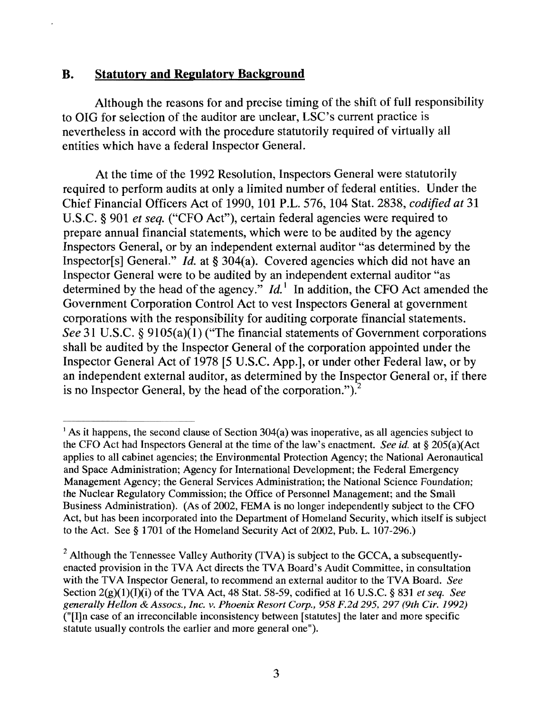### **B. Statutory and Regulatory Background**

Although the reasons for and precise timing of the shift of full responsibility to OIG for selection of the auditor are unclear, LSC's current practice is nevertheless in accord with the procedure statutorily required of virtually all entities which have a federal Inspector General.

At the time of the 1992 Resolution, Inspectors General were statutorily required to perform audits at only a limited number of federal entities. Under the Chief Financial Officers Act of 1990, 101 P.L. 576, 104 Stat. 2838, *codified at 31*  U.S.C. § 901 *et seq.* ("CFO Act"), certain federal agencies were required to prepare annual financial statements, which were to be audited by the agency Inspectors General, or by an independent external auditor "as determined by the Inspector[s] General." *Id.* at § 304(a). Covered agencies which did not have an Inspector General were to be audited by an independent external auditor "as determined by the head of the agency."  $Id$ <sup>1</sup> In addition, the CFO Act amended the Government Corporation Control Act to vest Inspectors General at government corporations with the responsibility for auditing corporate financial statements. *See* 31 U.S.C. § 9105(a)(l) ("The financial statements of Government corporations shall be audited by the Inspector General of the corporation appointed under the Inspector General Act of 1978 [5 U.S.C. App.], or under other Federal law, or by an independent external auditor, as determined by the Inspector General or, if there is no Inspector General, by the head of the corporation." $)$ .<sup>2</sup>

<sup>&</sup>lt;sup>1</sup> As it happens, the second clause of Section  $304(a)$  was inoperative, as all agencies subject to the CFO Act had Inspectors General at the time of the law's enactment. *See id.* at § 205(a)(Act applies to all cabinet agencies; the Environmental Protection Agency; the National Aeronautical and Space Administration; Agency for International Development; the Federal Emergency Management Agency; the General Services Administration; the National Science Foundation; the Nuclear Regulatory Commission; the Office of Personnel Management; and the Small Business Administration). (As of 2002, FEMA is no longer independently subject to the CFO Act, but has been incorporated into the Department of Homeland Security, which itself is subject to the Act. See § 1701 of the Homeland Security Act of 2002, Pub. L. 107-296.)

<sup>&</sup>lt;sup>2</sup> Although the Tennessee Valley Authority (TVA) is subject to the GCCA, a subsequentlyenacted provision in the TVA Act directs the TV A Board's Audit Committee, in consultation with the TVA Inspector General, to recommend an external auditor to the TVA Board. *See*  Section 2(g)(1 ) (I)(i) of the TVA Act, 48 Stat. 58-59, codified at 16 U.S.c. § 831 *et seq. See generally Hellon* & *A ssocs.* , *Inc. v. Phoenix Resort Corp.,* 958 *F.2d* 295,297 *(9th Cir. 1992)*  ("[I]n case of an irreconcilable inconsistency between [statutes] the later and more specific statute usually controls the earlier and more general one").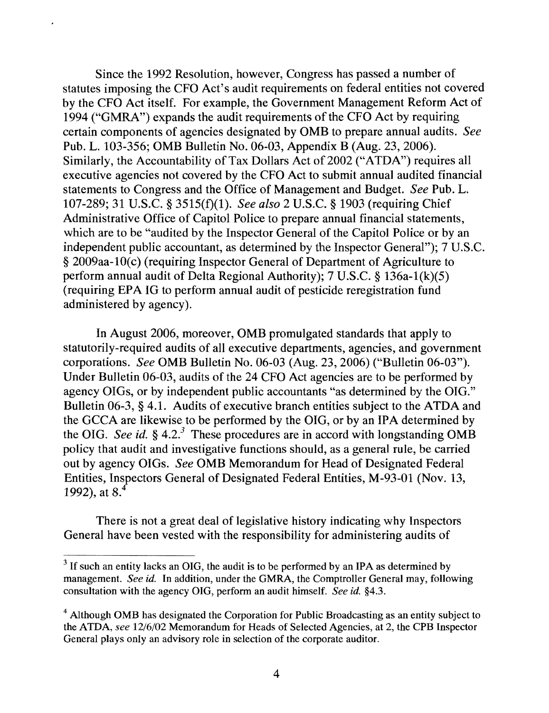Since the 1992 Resolution, however, Congress has passed a number of statutes imposing the CFO Act's audit requirements on federal entities not covered by the CFO Act itself. For example, the Government Management Reform Act of 1994 ("GMRA") expands the audit requirements of the CFO Act by requiring certain components of agencies designated by OMB to prepare annual audits. *See*  Pub. L. 103-356; OMB Bulletin No. 06-03, Appendix B (Aug. 23, 2006). Similarly, the Accountability of Tax Dollars Act of 2002 ("ATDA") requires all executive agencies not covered by the CFO Act to submit annual audited financial statements to Congress and the Office of Management and Budget. *See* Pub. L. 107-289; 31 U.S.C. § 3515(1)(1). *See also* 2 U.S.C. § 1903 (requiring Chief Administrative Office of Capitol Police to prepare annual financial statements, which are to be "audited by the Inspector General of the Capitol Police or by an independent public accountant, as determined by the Inspector General"); 7 U.S.C. § 2009aa-10(c) (requiring Inspector General of Department of Agriculture to perform annual audit of Delta Regional Authority); 7 U.S.C. § 136a-1(k)(5) (requiring EPA IG to perform annual audit of pesticide reregistration fund administered by agency).

In August 2006, moreover, OMB promulgated standards that apply to statutorily-required audits of all executive departments, agencies, and government corporations. *See* OMB Bulletin No. 06-03 (Aug. 23, 2006) ("Bulletin 06-03"). Under Bulletin 06-03, audits of the 24 CFO Act agencies are to be performed by agency OIGs, or by independent public accountants "as determined by the OIG." Bulletin 06-3, § 4.1. Audits of executive branch entities subject to the ATDA and the GCCA are likewise to be performed by the OIG, or by an IPA determined by the OIG. *See id.*  $\frac{6}{5}$  4.2.<sup>3</sup> These procedures are in accord with longstanding OMB policy that audit and investigative functions should, as a general rule, be carried out by agency OIGs. *See* OMB Memorandum for Head of Designated Federal Entities, Inspectors General of Designated Federal Entities, M-93-01 (Nov. 13, 1992), at  $8<sup>4</sup>$ 

There is not a great deal of legislative history indicating why Inspectors General have been vested with the responsibility for administering audits of

 $3$  If such an entity lacks an OIG, the audit is to be performed by an IPA as determined by management. *See id.* In addition, under the GMRA, the Comptroller General may, following consultation with the agency DIG, perform an audit himself. *See id.* §4.3.

<sup>&</sup>lt;sup>4</sup> Although OMB has designated the Corporation for Public Broadcasting as an entity subject to the ATDA, *see* 12/6/02 Memorandum for Heads of Selected Agencies, at 2, the CPB Inspector General plays only an advisory role in selection of the corporate auditor.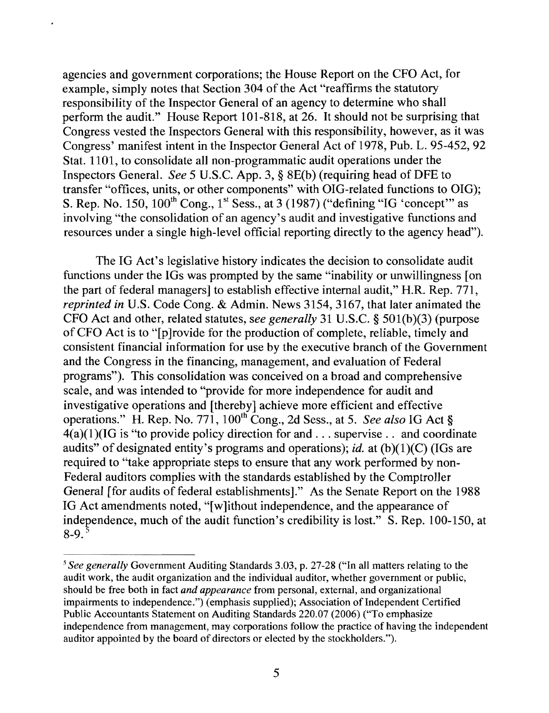agencies and government corporations; the House Report on the CFO Act, for example, simply notes that Section 304 of the Act "reaffinns the statutory responsibility of the Inspector General of an agency to determine who shall perfonn the audit." House Report 101-818, at 26. It should not be surprising that Congress vested the Inspectors General with this responsibility, however, as it was Congress' manifest intent in the Inspector General Act of 1978, Pub. L. 95-452, 92 Stat. 1101, to consolidate all non-programmatic audit operations under the Inspectors General. *See* 5 U.S.C. App. 3, § 8E(b) (requiring head of DFE to transfer "offices, units, or other components" with OIG-related functions to OIG); S. Rep. No. 150,  $100^{th}$  Cong.,  $1^{st}$  Sess., at 3 (1987) ("defining "IG 'concept'" as involving "the consolidation of an agency's audit and investigative functions and resources under a single high-level official reporting directly to the agency head").

The IG Act's legislative history indicates the decision to consolidate audit functions under the IGs was prompted by the same "inability or unwillingness [on the part of federal managers] to establish effective internal audit," H.R. Rep. 771, *reprinted in U.S. Code Cong. & Admin. News 3154, 3167, that later animated the* CFO Act and other, related statutes, *see generally* 31 U.S.C. § 501(b)(3) (purpose of CFO Act is to "[p ]rovide for the production of complete, reliable, timely and consistent financial information for use by the executive branch of the Government and the Congress in the financing, management, and evaluation of Federal programs"). This consolidation was conceived on a broad and comprehensive scale, and was intended to "provide for more independence for audit and investigative operations and [thereby] achieve more efficient and effective operations." H. Rep. No. 771, 100<sup>th</sup> Cong., 2d Sess., at 5. *See also* IG Act §  $4(a)(1)(IG is "to provide policy direction for and ... superwise... and coordinate"$ audits" of designated entity's programs and operations); *id.* at (b)(1)(C) (IGs are required to "take appropriate steps to ensure that any work perfonned by non-Federal auditors complies with the standards established by the Comptroller General [for audits of federal establishments]." As the Senate Report on the 1988 IG Act amendments noted, "[w]ithout independence, and the appearance of independence, much of the audit function's credibility is lost." S. Rep. 100-150, at  $8-9.$ <sup>3</sup>

*<sup>5</sup> See generally* Government Auditing Standards 3.03, p. 27-28 ("In all matters relating to the audit work, the audit organization and the individual auditor, whether government or public, should be free both in fact *and appearance* from personal, external, and organizational impairments to independence.") (emphasis supplied); Association of Independent Certified Public Accountants Statement on Auditing Standards 220.07 (2006) ("To emphasize independence from management, may corporations follow the practice of having the independent auditor appointed by the board of directors or elected by the stockholders.").